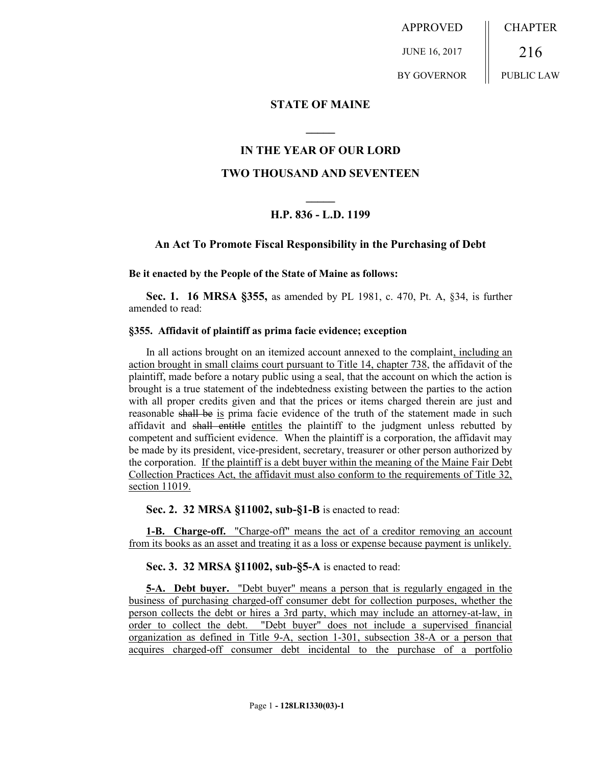APPROVED JUNE 16, 2017 BY GOVERNOR **CHAPTER** 216 PUBLIC LAW

### **STATE OF MAINE**

## **IN THE YEAR OF OUR LORD**

**\_\_\_\_\_**

#### **TWO THOUSAND AND SEVENTEEN**

# **\_\_\_\_\_ H.P. 836 - L.D. 1199**

#### **An Act To Promote Fiscal Responsibility in the Purchasing of Debt**

**Be it enacted by the People of the State of Maine as follows:**

**Sec. 1. 16 MRSA §355,** as amended by PL 1981, c. 470, Pt. A, §34, is further amended to read:

#### **§355. Affidavit of plaintiff as prima facie evidence; exception**

In all actions brought on an itemized account annexed to the complaint, including an action brought in small claims court pursuant to Title 14, chapter 738, the affidavit of the plaintiff, made before a notary public using a seal, that the account on which the action is brought is a true statement of the indebtedness existing between the parties to the action with all proper credits given and that the prices or items charged therein are just and reasonable shall be is prima facie evidence of the truth of the statement made in such affidavit and shall entitle entitles the plaintiff to the judgment unless rebutted by competent and sufficient evidence. When the plaintiff is a corporation, the affidavit may be made by its president, vice-president, secretary, treasurer or other person authorized by the corporation. If the plaintiff is a debt buyer within the meaning of the Maine Fair Debt Collection Practices Act, the affidavit must also conform to the requirements of Title 32, section 11019.

**Sec. 2. 32 MRSA §11002, sub-§1-B** is enacted to read:

**1-B. Charge-off.** "Charge-off" means the act of a creditor removing an account from its books as an asset and treating it as a loss or expense because payment is unlikely.

**Sec. 3. 32 MRSA §11002, sub-§5-A** is enacted to read:

**5-A. Debt buyer.** "Debt buyer" means a person that is regularly engaged in the business of purchasing charged-off consumer debt for collection purposes, whether the person collects the debt or hires a 3rd party, which may include an attorney-at-law, in order to collect the debt. "Debt buyer" does not include a supervised financial organization as defined in Title 9-A, section 1-301, subsection 38-A or a person that acquires charged-off consumer debt incidental to the purchase of a portfolio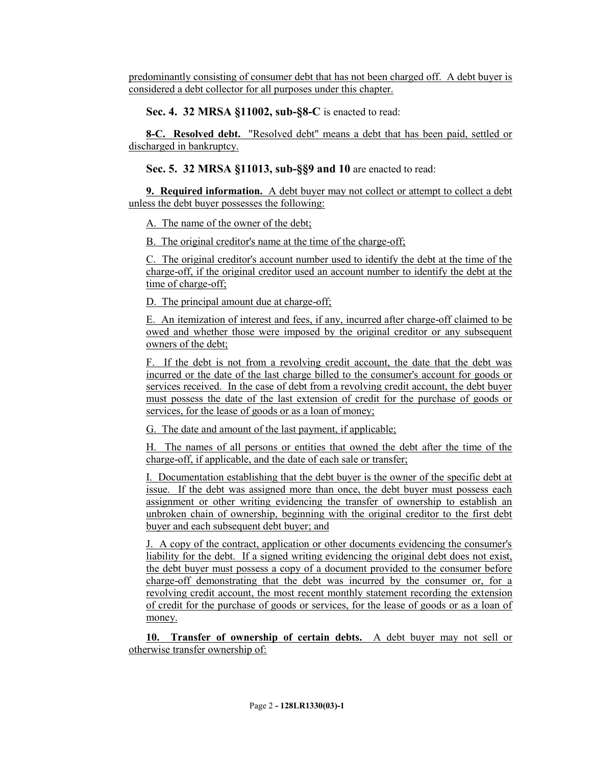predominantly consisting of consumer debt that has not been charged off. A debt buyer is considered a debt collector for all purposes under this chapter.

**Sec. 4. 32 MRSA §11002, sub-§8-C** is enacted to read:

**8-C. Resolved debt.** "Resolved debt" means a debt that has been paid, settled or discharged in bankruptcy.

**Sec. 5. 32 MRSA §11013, sub-§§9 and 10** are enacted to read:

**9. Required information.** A debt buyer may not collect or attempt to collect a debt unless the debt buyer possesses the following:

A. The name of the owner of the debt;

B. The original creditor's name at the time of the charge-off;

C. The original creditor's account number used to identify the debt at the time of the charge-off, if the original creditor used an account number to identify the debt at the time of charge-off;

D. The principal amount due at charge-off;

E. An itemization of interest and fees, if any, incurred after charge-off claimed to be owed and whether those were imposed by the original creditor or any subsequent owners of the debt;

F. If the debt is not from a revolving credit account, the date that the debt was incurred or the date of the last charge billed to the consumer's account for goods or services received. In the case of debt from a revolving credit account, the debt buyer must possess the date of the last extension of credit for the purchase of goods or services, for the lease of goods or as a loan of money;

G. The date and amount of the last payment, if applicable;

H. The names of all persons or entities that owned the debt after the time of the charge-off, if applicable, and the date of each sale or transfer;

I. Documentation establishing that the debt buyer is the owner of the specific debt at issue. If the debt was assigned more than once, the debt buyer must possess each assignment or other writing evidencing the transfer of ownership to establish an unbroken chain of ownership, beginning with the original creditor to the first debt buyer and each subsequent debt buyer; and

J. A copy of the contract, application or other documents evidencing the consumer's liability for the debt. If a signed writing evidencing the original debt does not exist, the debt buyer must possess a copy of a document provided to the consumer before charge-off demonstrating that the debt was incurred by the consumer or, for a revolving credit account, the most recent monthly statement recording the extension of credit for the purchase of goods or services, for the lease of goods or as a loan of money.

**10. Transfer of ownership of certain debts.** A debt buyer may not sell or otherwise transfer ownership of: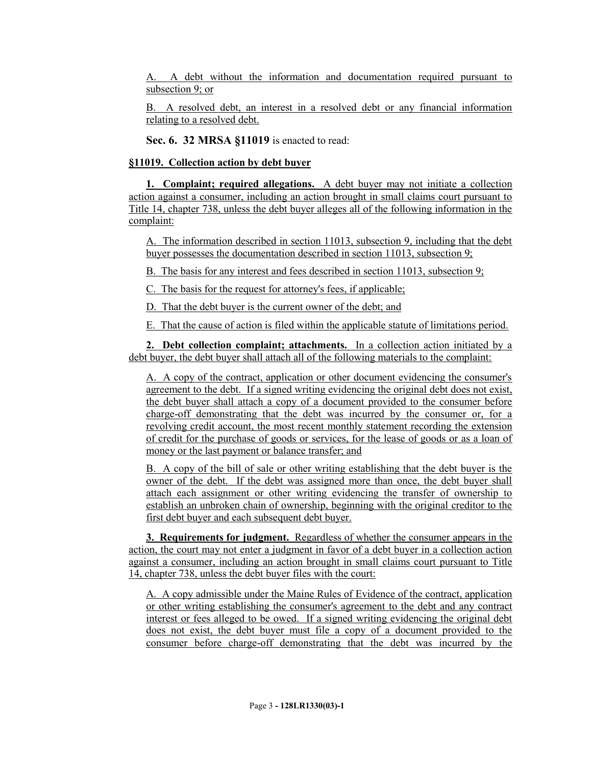A. A debt without the information and documentation required pursuant to subsection 9; or

B. A resolved debt, an interest in a resolved debt or any financial information relating to a resolved debt.

**Sec. 6. 32 MRSA §11019** is enacted to read:

# **§11019. Collection action by debt buyer**

**1. Complaint; required allegations.** A debt buyer may not initiate a collection action against a consumer, including an action brought in small claims court pursuant to Title 14, chapter 738, unless the debt buyer alleges all of the following information in the complaint:

A. The information described in section 11013, subsection 9, including that the debt buyer possesses the documentation described in section 11013, subsection 9;

B. The basis for any interest and fees described in section 11013, subsection 9;

C. The basis for the request for attorney's fees, if applicable;

D. That the debt buyer is the current owner of the debt; and

E. That the cause of action is filed within the applicable statute of limitations period.

**2. Debt collection complaint; attachments.** In a collection action initiated by a debt buyer, the debt buyer shall attach all of the following materials to the complaint:

A. A copy of the contract, application or other document evidencing the consumer's agreement to the debt. If a signed writing evidencing the original debt does not exist, the debt buyer shall attach a copy of a document provided to the consumer before charge-off demonstrating that the debt was incurred by the consumer or, for a revolving credit account, the most recent monthly statement recording the extension of credit for the purchase of goods or services, for the lease of goods or as a loan of money or the last payment or balance transfer; and

B. A copy of the bill of sale or other writing establishing that the debt buyer is the owner of the debt. If the debt was assigned more than once, the debt buyer shall attach each assignment or other writing evidencing the transfer of ownership to establish an unbroken chain of ownership, beginning with the original creditor to the first debt buyer and each subsequent debt buyer.

**3. Requirements for judgment.** Regardless of whether the consumer appears in the action, the court may not enter a judgment in favor of a debt buyer in a collection action against a consumer, including an action brought in small claims court pursuant to Title 14, chapter 738, unless the debt buyer files with the court:

A. A copy admissible under the Maine Rules of Evidence of the contract, application or other writing establishing the consumer's agreement to the debt and any contract interest or fees alleged to be owed. If a signed writing evidencing the original debt does not exist, the debt buyer must file a copy of a document provided to the consumer before charge-off demonstrating that the debt was incurred by the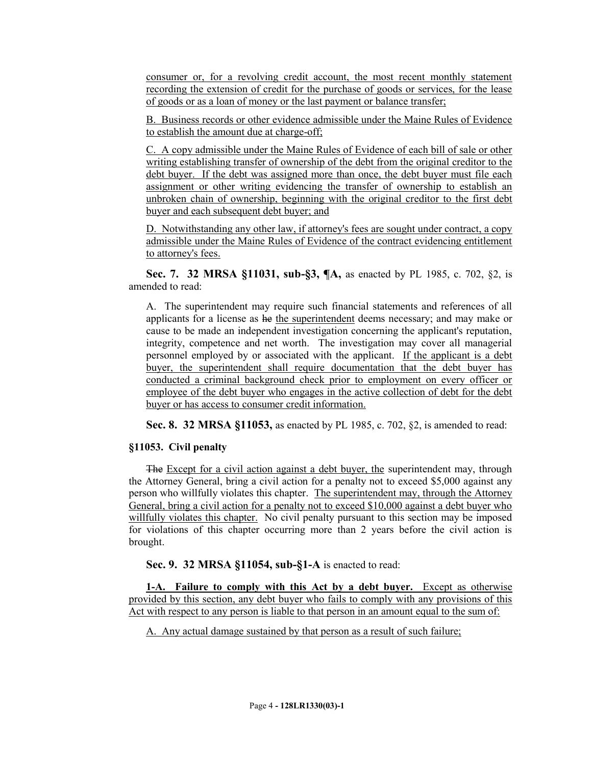consumer or, for a revolving credit account, the most recent monthly statement recording the extension of credit for the purchase of goods or services, for the lease of goods or as a loan of money or the last payment or balance transfer;

B. Business records or other evidence admissible under the Maine Rules of Evidence to establish the amount due at charge-off;

C. A copy admissible under the Maine Rules of Evidence of each bill of sale or other writing establishing transfer of ownership of the debt from the original creditor to the debt buyer. If the debt was assigned more than once, the debt buyer must file each assignment or other writing evidencing the transfer of ownership to establish an unbroken chain of ownership, beginning with the original creditor to the first debt buyer and each subsequent debt buyer; and

D. Notwithstanding any other law, if attorney's fees are sought under contract, a copy admissible under the Maine Rules of Evidence of the contract evidencing entitlement to attorney's fees.

**Sec. 7. 32 MRSA §11031, sub-§3, ¶A,** as enacted by PL 1985, c. 702, §2, is amended to read:

A. The superintendent may require such financial statements and references of all applicants for a license as he the superintendent deems necessary; and may make or cause to be made an independent investigation concerning the applicant's reputation, integrity, competence and net worth. The investigation may cover all managerial personnel employed by or associated with the applicant. If the applicant is a debt buyer, the superintendent shall require documentation that the debt buyer has conducted a criminal background check prior to employment on every officer or employee of the debt buyer who engages in the active collection of debt for the debt buyer or has access to consumer credit information.

**Sec. 8. 32 MRSA §11053,** as enacted by PL 1985, c. 702, §2, is amended to read:

# **§11053. Civil penalty**

The Except for a civil action against a debt buyer, the superintendent may, through the Attorney General, bring a civil action for a penalty not to exceed \$5,000 against any person who willfully violates this chapter. The superintendent may, through the Attorney General, bring a civil action for a penalty not to exceed \$10,000 against a debt buyer who willfully violates this chapter. No civil penalty pursuant to this section may be imposed for violations of this chapter occurring more than 2 years before the civil action is brought.

**Sec. 9. 32 MRSA §11054, sub-§1-A** is enacted to read:

**1-A. Failure to comply with this Act by a debt buyer.** Except as otherwise provided by this section, any debt buyer who fails to comply with any provisions of this Act with respect to any person is liable to that person in an amount equal to the sum of:

A. Any actual damage sustained by that person as a result of such failure;